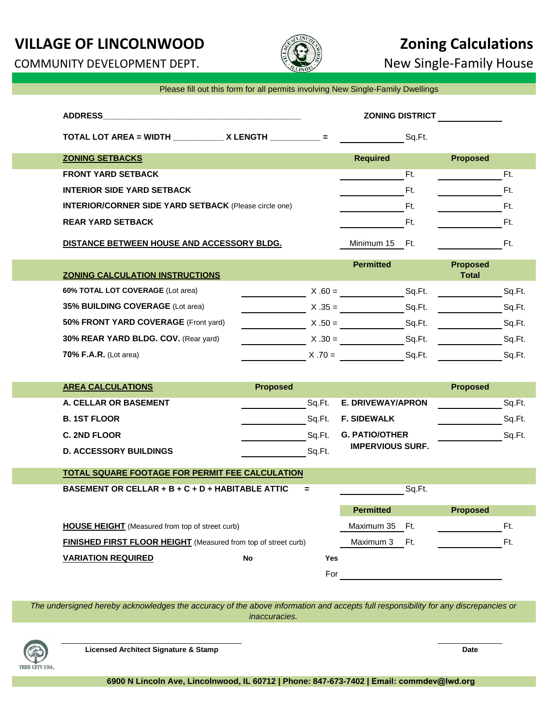# **VILLAGE OF LINCOLNWOOD 2011 6 2012 12:33 AND ALLAGE OF LINCOLNWOOD**

COMMUNITY DEVELOPMENT DEPT.  $\mathbb{R}$  New Single-Family House



|  |  | Please fill out this form for all permits involving New Single-Family Dwellings |  |  |
|--|--|---------------------------------------------------------------------------------|--|--|
|  |  |                                                                                 |  |  |

|                                                                |                      |            | <b>ZONING DISTRICT</b>   |        |                                 |        |
|----------------------------------------------------------------|----------------------|------------|--------------------------|--------|---------------------------------|--------|
| TOTAL LOT AREA = WIDTH ______________ X LENGTH ____________ =  |                      |            |                          | Sq.Ft. |                                 |        |
| <b>ZONING SETBACKS</b>                                         |                      |            | Required                 |        | <b>Proposed</b>                 |        |
| <b>FRONT YARD SETBACK</b>                                      |                      |            |                          | Ft.    |                                 | Ft.    |
| <b>INTERIOR SIDE YARD SETBACK</b>                              |                      |            |                          | Ft.    |                                 | Ft.    |
| <b>INTERIOR/CORNER SIDE YARD SETBACK (Please circle one)</b>   |                      |            |                          | Ft.    |                                 | Ft.    |
| <b>REAR YARD SETBACK</b>                                       |                      |            |                          | Ft.    |                                 | Ft.    |
| DISTANCE BETWEEN HOUSE AND ACCESSORY BLDG.                     |                      |            | Minimum 15 Ft.           |        |                                 | Ft.    |
| <b>ZONING CALCULATION INSTRUCTIONS</b>                         |                      |            | <b>Permitted</b>         |        | <b>Proposed</b><br><b>Total</b> |        |
| 60% TOTAL LOT COVERAGE (Lot area)                              |                      |            | $X .60 =$                | Sq.Ft. |                                 | Sq.Ft. |
| 35% BUILDING COVERAGE (Lot area)                               |                      |            | $X .35 =$ Sq. Ft.        |        |                                 | Sq.Ft. |
| 50% FRONT YARD COVERAGE (Front yard)                           |                      |            | $X.50 =$ Sq.Ft.          |        |                                 | Sq.Ft. |
| 30% REAR YARD BLDG. COV. (Rear yard)                           |                      |            | $X.30 =$ Sq.Ft.          |        |                                 | Sq.Ft. |
| 70% F.A.R. (Lot area)                                          |                      |            | $X .70 =$ Sq.Ft.         |        |                                 | Sq.Ft. |
|                                                                |                      |            |                          |        |                                 |        |
| <b>AREA CALCULATIONS</b>                                       | <b>Proposed</b>      |            |                          |        | <b>Proposed</b>                 |        |
| A. CELLAR OR BASEMENT                                          | in the Sq.Ft. Sq.Ft. |            | <b>E. DRIVEWAY/APRON</b> |        |                                 | Sq.Ft. |
| <b>B. 1ST FLOOR</b>                                            |                      |            | Sq.Ft. F. SIDEWALK       |        |                                 | Sq.Ft. |
| C. 2ND FLOOR                                                   |                      | Sq.Ft.     | <b>G. PATIO/OTHER</b>    |        |                                 | Sq.Ft. |
| <b>D. ACCESSORY BUILDINGS</b>                                  |                      | Sq.Ft.     | <b>IMPERVIOUS SURF.</b>  |        |                                 |        |
| <b>TOTAL SQUARE FOOTAGE FOR PERMIT FEE CALCULATION</b>         |                      |            |                          |        |                                 |        |
| BASEMENT OR CELLAR + B + C + D + HABITABLE ATTIC               |                      | $=$        |                          | Sq.Ft. |                                 |        |
|                                                                |                      |            | <b>Permitted</b>         |        | <b>Proposed</b>                 |        |
| <b>HOUSE HEIGHT</b> (Measured from top of street curb)         |                      |            | Maximum 35 Ft.           |        |                                 | Ft.    |
| FINISHED FIRST FLOOR HEIGHT (Measured from top of street curb) |                      |            | Maximum 3                | Ft.    |                                 | Ft.    |
| <b>VARIATION REQUIRED</b>                                      | ${\sf No}$           | <b>Yes</b> |                          |        |                                 |        |
|                                                                |                      | For        |                          |        |                                 |        |
|                                                                |                      |            |                          |        |                                 |        |

*The undersigned hereby acknowledges the accuracy of the above information and accepts full responsibility for any discrepancies or inaccuracies.*



**Licensed Architect Signature & Stamp Date**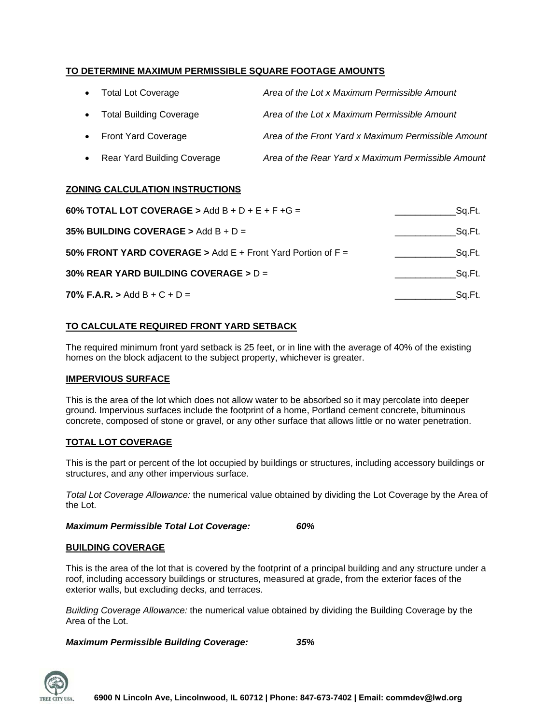# **TO DETERMINE MAXIMUM PERMISSIBLE SQUARE FOOTAGE AMOUNTS**

| • Total Lot Coverage          | Area of the Lot x Maximum Permissible Amount        |
|-------------------------------|-----------------------------------------------------|
| • Total Building Coverage     | Area of the Lot x Maximum Permissible Amount        |
| • Front Yard Coverage         | Area of the Front Yard x Maximum Permissible Amount |
| • Rear Yard Building Coverage | Area of the Rear Yard x Maximum Permissible Amount  |

### **ZONING CALCULATION INSTRUCTIONS**

| 60% TOTAL LOT COVERAGE > Add B + D + E + F + G =            | Sa.Ft. |
|-------------------------------------------------------------|--------|
| 35% BUILDING COVERAGE > Add B + D =                         | Sq.Ft. |
| 50% FRONT YARD COVERAGE > Add E + Front Yard Portion of F = | Sq.Ft. |
| 30% REAR YARD BUILDING COVERAGE > $D =$                     | Sa.Ft. |
| 70% F.A.R. > Add B + C + D =                                | Sa.Ft. |

### **TO CALCULATE REQUIRED FRONT YARD SETBACK**

The required minimum front yard setback is 25 feet, or in line with the average of 40% of the existing homes on the block adjacent to the subject property, whichever is greater.

#### **IMPERVIOUS SURFACE**

This is the area of the lot which does not allow water to be absorbed so it may percolate into deeper ground. Impervious surfaces include the footprint of a home, Portland cement concrete, bituminous concrete, composed of stone or gravel, or any other surface that allows little or no water penetration.

#### **TOTAL LOT COVERAGE**

This is the part or percent of the lot occupied by buildings or structures, including accessory buildings or structures, and any other impervious surface.

*Total Lot Coverage Allowance:* the numerical value obtained by dividing the Lot Coverage by the Area of the Lot.

*Maximum Permissible Total Lot Coverage: 60%*

#### **BUILDING COVERAGE**

This is the area of the lot that is covered by the footprint of a principal building and any structure under a roof, including accessory buildings or structures, measured at grade, from the exterior faces of the exterior walls, but excluding decks, and terraces.

*Building Coverage Allowance:* the numerical value obtained by dividing the Building Coverage by the Area of the Lot.

*Maximum Permissible Building Coverage: 35%*